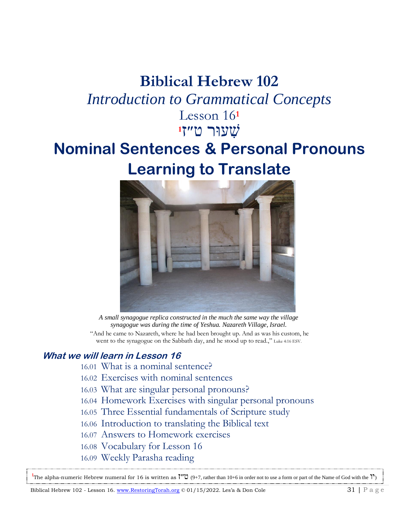# **Biblical Hebrew 102**

# *Introduction to Grammatical Concepts*

Lesson 16**<sup>1</sup> 1** שׁ עוּר ט״ ז

# **Nominal Sentences & Personal Pronouns Learning to Translate**



*A small synagogue replica constructed in the much the same way the village synagogue was during the time of Yeshua. Nazareth Village, Israel.* "And he came to Nazareth, where he had been brought up. And as was his custom, he went to the synagogue on the Sabbath day, and he stood up to read.," Luke 4:16 ESV.

# **What we will learn in Lesson 16**

- 16.01 What is a nominal sentence?
- 16.02 Exercises with nominal sentences
- 16.03 What are singular personal pronouns?
- 16.04 Homework Exercises with singular personal pronouns
- 16.05 Three Essential fundamentals of Scripture study
- 16.06 Introduction to translating the Biblical text
- 16.07 Answers to Homework exercises
- 16.08 Vocabulary for Lesson 16
- 16.09 Weekly Parasha reading

<sup>1</sup>The alpha-numeric Hebrew numeral for 16 is written as <sup>γ</sup><sup>1</sup> (9+7, rather than 10+6 in order not to use a form or part of the Name of God with the <sup>1</sup>)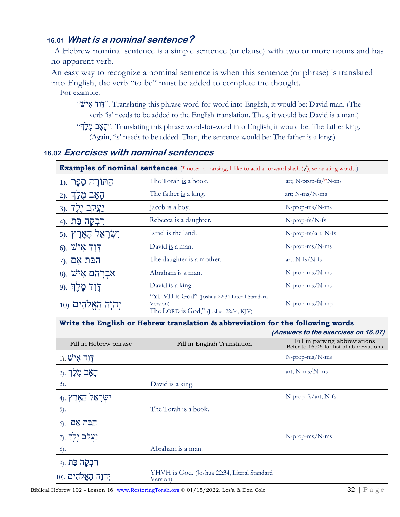## **16.01 What is a nominal sentence?**

A Hebrew nominal sentence is a simple sentence (or clause) with two or more nouns and has no apparent verb.

An easy way to recognize a nominal sentence is when this sentence (or phrase) is translated into English, the verb "to be" must be added to complete the thought.

For example.

- "ישׁ א ד ו ָּד". Translating this phrase word-for-word into English, it would be: David man. (The verb 'is' needs to be added to the English translation. Thus, it would be: David is a man.)
- " ךֶל ֶמ ב ָּאָּה". Translating this phrase word-for-word into English, it would be: The father king. (Again, 'is' needs to be added. Then, the sentence would be: The father is a king.)

#### **16.02 Exercises with nominal sentences**

| <b>Examples of nominal sentences</b> (* note: In parsing, I like to add a forward slash (/), separating words.) |                                                                                                   |                                                                           |  |
|-----------------------------------------------------------------------------------------------------------------|---------------------------------------------------------------------------------------------------|---------------------------------------------------------------------------|--|
| הַתּוֹרָה סֵפֶר .(1                                                                                             | The Torah is a book.                                                                              | art; N-prop-fs/*N-ms                                                      |  |
| ַהָאָב מֶלֶךְ .(2                                                                                               | The father is a king.                                                                             | art; N-ms/N-ms                                                            |  |
| יַצֲקֹב יֶלֶד<br>$3)$ .                                                                                         | Jacob is a boy.                                                                                   | N-prop-ms/N-ms                                                            |  |
| רִבְקָה בַּת<br>$4$ ).                                                                                          | Rebecca is a daughter.                                                                            | N-prop-fs/N-fs                                                            |  |
| יִשְׂרָאֵל הָאָרֶץ.                                                                                             | Israel is the land.                                                                               | N-prop-fs/art; N-fs                                                       |  |
| $6$ ). $\ddot{V}$ יל איל                                                                                        | David is a man.                                                                                   | N-prop-ms/N-ms                                                            |  |
| קבַת אֵם .(7                                                                                                    | The daughter is a mother.                                                                         | art; $N-fs/N-fs$                                                          |  |
| 8). אָבְרָהָם אִישׁ                                                                                             | Abraham is a man.                                                                                 | N-prop-ms/N-ms                                                            |  |
| 9). <b>דְוִד מֶלְךְ</b>                                                                                         | David is a king.                                                                                  | N-prop-ms/N-ms                                                            |  |
| יְהַנָה הָאֱלֹהִים .(10                                                                                         | "YHVH is God" (Joshua 22:34 Literal Standard<br>Version)<br>The LORD is God," (Joshua 22:34, KJV) | N-prop-ms/N-mp                                                            |  |
| Write the English or Hebrew translation & abbreviation for the following words                                  |                                                                                                   |                                                                           |  |
|                                                                                                                 |                                                                                                   |                                                                           |  |
|                                                                                                                 |                                                                                                   | (Answers to the exercises on 16.07)                                       |  |
| Fill in Hebrew phrase                                                                                           | Fill in English Translation                                                                       | Fill in parsing abbreviations<br>Refer to 16.06 for list of abbreviations |  |
| $(1)$ . $2^i$ דַן ד                                                                                             |                                                                                                   | N-prop-ms/N-ms                                                            |  |
| ַהָאָב מֶלֶךְ .כ                                                                                                |                                                                                                   | art; N-ms/N-ms                                                            |  |
| 3).                                                                                                             | David is a king.                                                                                  |                                                                           |  |
| יִשְׂרָאֵל הָאָרֶץ<br>4).                                                                                       |                                                                                                   | N-prop-fs/art; N-fs                                                       |  |
| 5).                                                                                                             | The Torah is a book.                                                                              |                                                                           |  |
| הַבַּת אֵם<br>$6$ .                                                                                             |                                                                                                   |                                                                           |  |
| יַ <b>עֲקֹב יֶלֶד</b> .(7                                                                                       |                                                                                                   | N-prop-ms/N-ms                                                            |  |
| 8).                                                                                                             | Abraham is a man.                                                                                 |                                                                           |  |
| <b>רִבְקָה בַּת</b> .(9                                                                                         | YHVH is God. (Joshua 22:34, Literal Standard                                                      |                                                                           |  |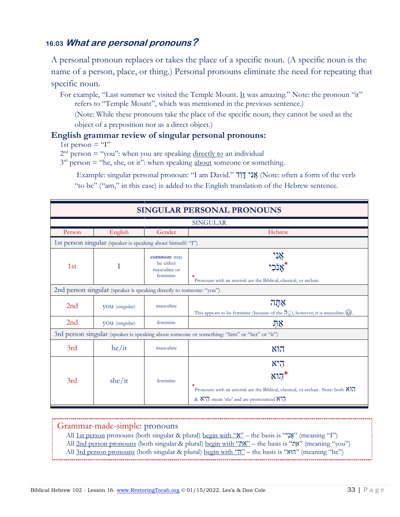## **16.03 What are personal pronouns?**

A personal pronoun replaces or takes the place of a specific noun. (A specific noun is the name of a person, place, or thing.) Personal pronouns eliminate the need for repeating that specific noun.

For example, "Last summer we visited the Temple Mount. It was amazing." Note: the pronoun "it" refers to "Temple Mount", which was mentioned in the previous sentence.)

(Note: While these pronouns take the place of the specific noun, they cannot be used as the object of a preposition nor as a direct object.)

#### **English grammar review of singular personal pronouns:**

1st person  $=$  "I"

 $2<sup>nd</sup> person = "you": when you are speaking directly to an individual$ 

 $3<sup>rd</sup>$  person = "he, she, or it": when speaking about someone or something.

Example: singular personal pronoun: "I am David." אֲנָי דָּןד (Note: often a form of the verb "to be" ("am," in this case) is added to the English translation of the Hebrew sentence.

| <b>SINGULAR PERSONAL PRONOUNS</b>                                                            |                                                                      |                                                      |                                                                                                                                                                              |
|----------------------------------------------------------------------------------------------|----------------------------------------------------------------------|------------------------------------------------------|------------------------------------------------------------------------------------------------------------------------------------------------------------------------------|
| <b>SINGULAR</b>                                                                              |                                                                      |                                                      |                                                                                                                                                                              |
| Person                                                                                       | English                                                              | Gender                                               | Hebrew                                                                                                                                                                       |
| 1st person singular (speaker is speaking about himself: "I")                                 |                                                                      |                                                      |                                                                                                                                                                              |
| 1st                                                                                          | Ι                                                                    | common: may<br>be either<br>masculine or<br>feminine | $\ast$<br>Pronouns with an asterisk are the Biblical, classical, or archaic.                                                                                                 |
|                                                                                              | 2nd person singular (speaker is speaking directly to someone: "you") |                                                      |                                                                                                                                                                              |
| 2nd                                                                                          | VOU (singular)                                                       | masculine                                            | אַתַּה<br>This appears to be feminine (because of the $\overline{D}$ ), however, it is masculine. $\odot$ .                                                                  |
| 2nd                                                                                          | VOU (singular)                                                       | feminine                                             | ΩĶ                                                                                                                                                                           |
| 3rd person singular (speaker is speaking about someone or something: "him" or "her" or "it") |                                                                      |                                                      |                                                                                                                                                                              |
| 3rd                                                                                          | he/it                                                                | masculine                                            | הוא                                                                                                                                                                          |
| 3rd                                                                                          | she/it                                                               | feminine                                             | היא<br>$N$ הוא<br>Pronouns with an asterisk are the Biblical, classical, or archaic. Note: both $N$<br>& $N$ <sup>7</sup> , mean 'she' and are pronounced $N$ <sup>7</sup> , |

#### Grammar-made-simple: pronouns

All 1st person pronouns (both singular & plural) <u>begin with ""א</u>" – the basis is "אָנָ" (meaning "I")

All 2nd person pronouns (both singular & plural) begin with "את" – the basis is "את" (meaning "you")

All 3rd person pronouns (both singular & plural) <u>begin with "הוּא</u>" – the basis is "הוּא" (meaning "he")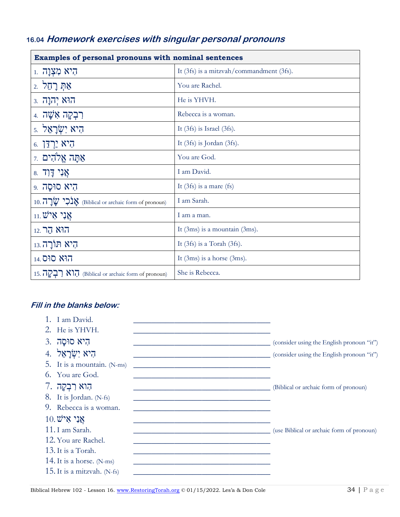# 16.04 Homework exercises with singular personal pronouns

| Examples of personal pronouns with nominal sentences |                                          |  |
|------------------------------------------------------|------------------------------------------|--|
| הִיא מִצְוָה ּו                                      | It (3fs) is a mitzvah/commandment (3fs). |  |
| אַתְּ רָחֵל 2.                                       | You are Rachel.                          |  |
| הוּא יְהוָה .3                                       | He is YHVH.                              |  |
| רִבְקָה אִשָׁה 4.                                    | Rebecca is a woman.                      |  |
| הִיא יִשְׂרָאֵל .                                    | It $(3fs)$ is Israel $(3fs)$ .           |  |
| <b>6. הְיֹא יַרְדֵּן</b>                             | It $(3fs)$ is Jordan $(3fs)$ .           |  |
| אַתָּה אֱלֹהִים ז                                    | You are God.                             |  |
| אֲנִי דָּו <del>ָ</del> ד 8.                         | I am David.                              |  |
| הִיא סוּסַה 9.                                       | It $(3fs)$ is a mare $(fs)$              |  |
| 10. אֲבֹלָי @ Biblical or archaic form of pronoun)   | I am Sarah.                              |  |
| $11.$ עֲנָי אֵישׁ                                    | I am a man.                              |  |
| <b>הוא הר</b> .12                                    | It $(3ms)$ is a mountain $(3ms)$ .       |  |
| הִיא תּוֹרָה.13                                      | It $(3fs)$ is a Torah $(3fs)$ .          |  |
| <b>הוא סוּס</b> .14                                  | It $(3ms)$ is a horse $(3ms)$ .          |  |
| 15. הוא הוא (Biblical or archaic form of pronoun)    | She is Rebecca.                          |  |

### Fill in the blanks below:

| 1. I am David.                                                                           |                                           |
|------------------------------------------------------------------------------------------|-------------------------------------------|
| 2. He is YHVH.                                                                           |                                           |
| היא סוּסַה .3                                                                            | (consider using the English pronoun "it") |
| היא יִשְׂרָאֵל 4.                                                                        | (consider using the English pronoun "it") |
| 5. It is a mountain. (N-ms)<br><u> 1980 - Jan Barbara, margaret al II-lea (h. 1980).</u> |                                           |
| 6. You are God.                                                                          |                                           |
| הִוא רִבְקָה 7.                                                                          | (Biblical or archaic form of pronoun)     |
| 8. It is Jordan. (N-fs)                                                                  |                                           |
| 9. Rebecca is a woman.                                                                   |                                           |
| $10.$ אֲנִי אִיש                                                                         |                                           |
| 11. I am Sarah.                                                                          | (use Biblical or archaic form of pronoun) |
| 12. You are Rachel.                                                                      |                                           |
| 13. It is a Torah.                                                                       |                                           |
| 14. It is a horse. $(N-ms)$                                                              |                                           |
| 15. It is a mitzvah. $(N-fs)$                                                            |                                           |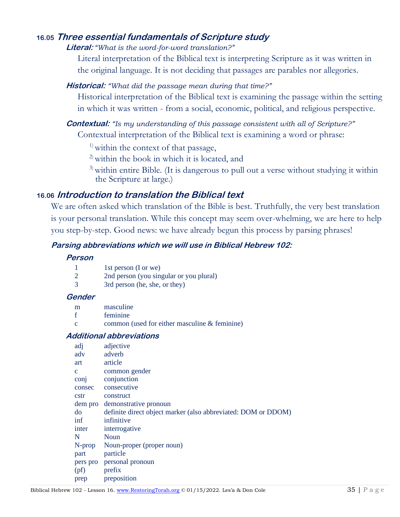### **16.05 Three essential fundamentals of Scripture study**

#### **Literal:** *"What is the word-for-word translation?"*

Literal interpretation of the Biblical text is interpreting Scripture as it was written in the original language. It is not deciding that passages are parables nor allegories.

#### **Historical:** *"What did the passage mean during that time?"*

Historical interpretation of the Biblical text is examining the passage within the setting in which it was written - from a social, economic, political, and religious perspective.

**Contextual:** *"Is my understanding of this passage consistent with all of Scripture?"* Contextual interpretation of the Biblical text is examining a word or phrase:

<sup>1)</sup> within the context of that passage,

<sup>2)</sup> within the book in which it is located, and

<sup>3)</sup> within entire Bible. (It is dangerous to pull out a verse without studying it within the Scripture at large.)

### **16.06 Introduction to translation the Biblical text**

We are often asked which translation of the Bible is best. Truthfully, the very best translation is your personal translation. While this concept may seem over-whelming, we are here to help you step-by-step. Good news: we have already begun this process by parsing phrases!

#### **Parsing abbreviations which we will use in Biblical Hebrew 102:**

#### **Person**

|                | 1st person (I or we)                    |
|----------------|-----------------------------------------|
| $\overline{2}$ | 2nd person (you singular or you plural) |
| -3             | 3rd person (he, she, or they)           |

#### **Gender**

f feminine

common (used for either masculine  $&$  feminine)

#### **Additional abbreviations**

| adj          | adjective                                                     |
|--------------|---------------------------------------------------------------|
| adv          | adverb                                                        |
| art          | article                                                       |
| $\mathbf{C}$ | common gender                                                 |
| conj         | conjunction                                                   |
| consec       | consecutive                                                   |
| cstr         | construct                                                     |
|              | dem pro demonstrative pronoun                                 |
| do           | definite direct object marker (also abbreviated: DOM or DDOM) |
| inf          | infinitive                                                    |
| inter        | interrogative                                                 |
| N            | <b>Noun</b>                                                   |
| $N$ -prop    | Noun-proper (proper noun)                                     |
| part         | particle                                                      |
| pers pro     | personal pronoun                                              |
| (pt)         | prefix                                                        |
| prep         | preposition                                                   |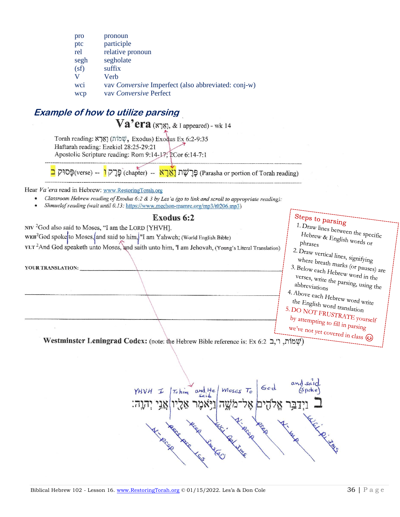| pro  | pronoun                                             |
|------|-----------------------------------------------------|
| ptc  | participle                                          |
| rel  | relative pronoun                                    |
| segh | segholate                                           |
| (sf) | suffix                                              |
| V    | Verh                                                |
| wci  | vav Conversive Imperfect (also abbreviated: conj-w) |
| wcp  | vay <i>Conversive</i> Perfect                       |

# **Example of how to utilize parsing**

 $Va'era$  (אָרָא), & I appeared) - wk 14

Torah reading: אֲמָוֹת) (תּוֹאָךָא Exodus) Exodus Ex 6:2-9:35 Haftarah reading: Ezekiel 28:25-29:21 Apostolic Scripture reading: Rom 9:14-17; 2Cor 6:14-7:1

– (verse) קסוּק er (chapter) – מַרְשׁת (Parasha or portion of Torah reading) פּרְק

Hear Va'era read in Hebrew: www.RestoringTorah.org

- Classroom Hebrew reading of Exodus 6:2 & 3 by Les'a (go to link and scroll to appropriate reading):  $\bullet$
- Shmuelof reading (wait until 0.13: https://www.mechon-mamre.org/mp3/t0206.mp3)

#### Exodus 6:2

NIV<sup>2</sup>God also said to Moses, "I am the LORD [YHVH].

WEB<sup>2</sup>God spoke to Moses, and said to him, "I am Yahweh; (World English Bible)

YLT<sup>2</sup>And God speaketh unto Moses, and saith unto him, 'I am Jehovah, (Young's Literal Translation)

YOUR TRANSLATION:

# Steps to parsing

1. Draw lines between the specific Hebrew & English words or  $\rm{phrases}$ 2. Draw vertical lines, signifying where breath marks (or pauses) are 3. Below each Hebrew word in the

verses, write the parsing, using the abbreviations

4. Above each Hebrew word write the English word translation 5. DO NOT FRUSTRATE yourself

by attempting to fill in parsing we've not yet covered in class  $\circled{c}$ 

Westminster Leningrad Codex: (note: the Hebrew Bible reference is: Ex 6:2 ב, ו', ממוֹת, ו',

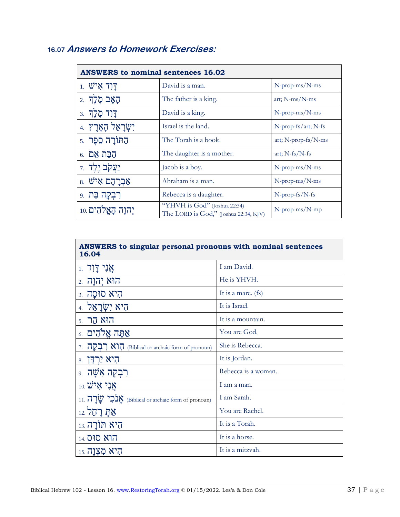# **16.07 Answers to Homework Exercises:**

| $1.$ עֵישׁ            | David is a man.                                                       | N-prop-ms/N-ms        |
|-----------------------|-----------------------------------------------------------------------|-----------------------|
| הַאֲב מֶלֶךְ          | The father is a king.                                                 | art; $N-ms/N-ms$      |
| דַּוְד מֶלֶךְ .       | David is a king.                                                      | N-prop-ms/N-ms        |
| יִשְׂרָאֵל הָאָרֶץ.   | Israel is the land.                                                   | N-prop-fs/art; N-fs   |
| הַתּוֹרַה סֶפֶר .     | The Torah is a book.                                                  | art; N-prop-fs/N-ms   |
| הַבַּת אֵם .6         | The daughter is a mother.                                             | art; $N-fs/N-fs$      |
| יַ <b>צֲקֹב יֶלֶד</b> | Jacob is a boy.                                                       | N-prop-ms/N-ms        |
| 8. אַבְרָהָם אִישׁ    | Abraham is a man.                                                     | N-prop-ms/N-ms        |
| רִבְקָה בַּת 9.       | Rebecca is a daughter.                                                | $N$ -prop-fs/N-fs     |
| יִהוַה הַאֱלֹהִים 10. | "YHVH is God" (Joshua 22:34)<br>The LORD is God," (Joshua 22:34, KJV) | $N$ -prop-ms/ $N$ -mp |

| $1.7$ אֲנִי דַּוְד                                | I am David.         |
|---------------------------------------------------|---------------------|
| הוא יהנה .                                        | He is YHVH.         |
| היא סוּסַה .                                      | It is a mare. (fs)  |
| היא יִשְׂרַאֵל 4                                  | It is Israel.       |
| 5. הוא הר                                         | It is a mountain.   |
| אַתַּה אֱלֹהִים .                                 | You are God.        |
| 7. הוא האוֹ (Biblical or archaic form of pronoun) | She is Rebecca.     |
| הִיא יַרְדֵּן<br>8.                               | It is Jordan.       |
| ַרְבְקָה אָשָׁה .                                 | Rebecca is a woman. |
| $_{10.}$ אֲנִי אֵישׁ                              | I am a man.         |
| ות (Biblical or archaic form of pronoun)          | I am Sarah.         |
| אַתְּ רַחֱל 12.                                   | You are Rachel.     |
| היא תורה.13                                       | It is a Torah.      |
| <b>הוא סוס</b> 14.                                | It is a horse.      |
| היא מִצְוה 15.                                    | It is a mitzvah.    |